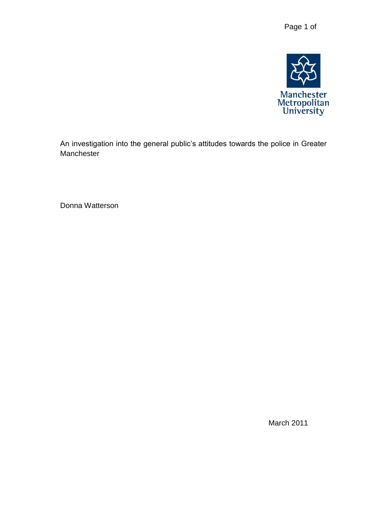

An investigation into the general public's attitudes towards the police in Greater Manchester

Donna Watterson

March 2011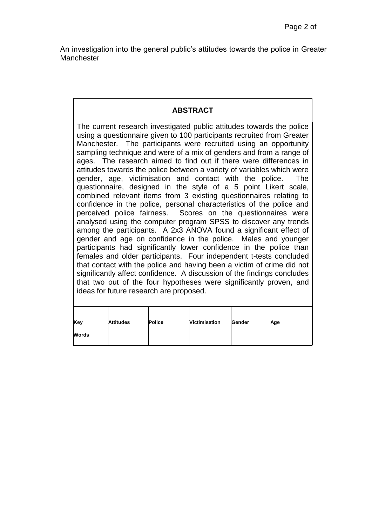An investigation into the general public's attitudes towards the police in Greater Manchester

# **ABSTRACT**

The current research investigated public attitudes towards the police using a questionnaire given to 100 participants recruited from Greater Manchester. The participants were recruited using an opportunity sampling technique and were of a mix of genders and from a range of ages. The research aimed to find out if there were differences in attitudes towards the police between a variety of variables which were gender, age, victimisation and contact with the police. The questionnaire, designed in the style of a 5 point Likert scale, combined relevant items from 3 existing questionnaires relating to confidence in the police, personal characteristics of the police and perceived police fairness. Scores on the questionnaires were analysed using the computer program SPSS to discover any trends among the participants. A 2x3 ANOVA found a significant effect of gender and age on confidence in the police. Males and younger participants had significantly lower confidence in the police than females and older participants. Four independent t-tests concluded that contact with the police and having been a victim of crime did not significantly affect confidence. A discussion of the findings concludes that two out of the four hypotheses were significantly proven, and ideas for future research are proposed.

| Key          | <b>Attitudes</b> | <b>Police</b> | Victimisation | Gender | Age |
|--------------|------------------|---------------|---------------|--------|-----|
| <b>Words</b> |                  |               |               |        |     |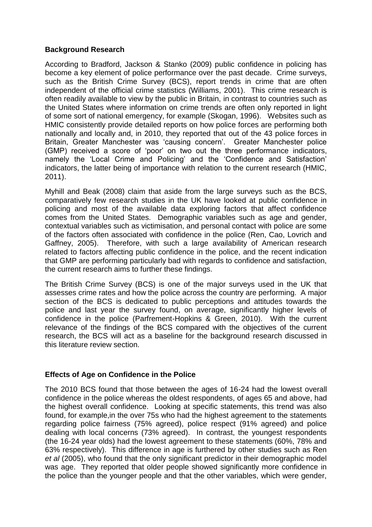# **Background Research**

According to Bradford, Jackson & Stanko (2009) public confidence in policing has become a key element of police performance over the past decade. Crime surveys, such as the British Crime Survey (BCS), report trends in crime that are often independent of the official crime statistics (Williams, 2001). This crime research is often readily available to view by the public in Britain, in contrast to countries such as the United States where information on crime trends are often only reported in light of some sort of national emergency, for example (Skogan, 1996). Websites such as HMIC consistently provide detailed reports on how police forces are performing both nationally and locally and, in 2010, they reported that out of the 43 police forces in Britain, Greater Manchester was 'causing concern'. Greater Manchester police (GMP) received a score of 'poor' on two out the three performance indicators, namely the 'Local Crime and Policing' and the 'Confidence and Satisfaction' indicators, the latter being of importance with relation to the current research (HMIC, 2011).

Myhill and Beak (2008) claim that aside from the large surveys such as the BCS, comparatively few research studies in the UK have looked at public confidence in policing and most of the available data exploring factors that affect confidence comes from the United States. Demographic variables such as age and gender, contextual variables such as victimisation, and personal contact with police are some of the factors often associated with confidence in the police (Ren, Cao, Lovrich and Gaffney, 2005). Therefore, with such a large availability of American research related to factors affecting public confidence in the police, and the recent indication that GMP are performing particularly bad with regards to confidence and satisfaction, the current research aims to further these findings.

The British Crime Survey (BCS) is one of the major surveys used in the UK that assesses crime rates and how the police across the country are performing. A major section of the BCS is dedicated to public perceptions and attitudes towards the police and last year the survey found, on average, significantly higher levels of confidence in the police (Parfrement-Hopkins & Green, 2010). With the current relevance of the findings of the BCS compared with the objectives of the current research, the BCS will act as a baseline for the background research discussed in this literature review section.

## **Effects of Age on Confidence in the Police**

The 2010 BCS found that those between the ages of 16-24 had the lowest overall confidence in the police whereas the oldest respondents, of ages 65 and above, had the highest overall confidence. Looking at specific statements, this trend was also found, for example,in the over 75s who had the highest agreement to the statements regarding police fairness (75% agreed), police respect (91% agreed) and police dealing with local concerns (73% agreed). In contrast, the youngest respondents (the 16-24 year olds) had the lowest agreement to these statements (60%, 78% and 63% respectively). This difference in age is furthered by other studies such as Ren *et al* (2005), who found that the only significant predictor in their demographic model was age. They reported that older people showed significantly more confidence in the police than the younger people and that the other variables, which were gender,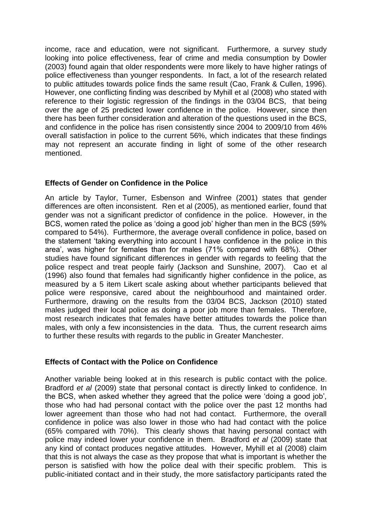income, race and education, were not significant. Furthermore, a survey study looking into police effectiveness, fear of crime and media consumption by Dowler (2003) found again that older respondents were more likely to have higher ratings of police effectiveness than younger respondents. In fact, a lot of the research related to public attitudes towards police finds the same result (Cao, Frank & Cullen, 1996). However, one conflicting finding was described by Myhill et al (2008) who stated with reference to their logistic regression of the findings in the 03/04 BCS, that being over the age of 25 predicted lower confidence in the police. However, since then there has been further consideration and alteration of the questions used in the BCS, and confidence in the police has risen consistently since 2004 to 2009/10 from 46% overall satisfaction in police to the current 56%, which indicates that these findings may not represent an accurate finding in light of some of the other research mentioned.

# **Effects of Gender on Confidence in the Police**

An article by Taylor, Turner, Esbenson and Winfree (2001) states that gender differences are often inconsistent. Ren et al (2005), as mentioned earlier, found that gender was not a significant predictor of confidence in the police. However, in the BCS, women rated the police as 'doing a good job' higher than men in the BCS (59% compared to 54%). Furthermore, the average overall confidence in police, based on the statement 'taking everything into account I have confidence in the police in this area', was higher for females than for males (71% compared with 68%). Other studies have found significant differences in gender with regards to feeling that the police respect and treat people fairly (Jackson and Sunshine, 2007). Cao et al (1996) also found that females had significantly higher confidence in the police, as measured by a 5 item Likert scale asking about whether participants believed that police were responsive, cared about the neighbourhood and maintained order. Furthermore, drawing on the results from the 03/04 BCS, Jackson (2010) stated males judged their local police as doing a poor job more than females. Therefore, most research indicates that females have better attitudes towards the police than males, with only a few inconsistencies in the data. Thus, the current research aims to further these results with regards to the public in Greater Manchester.

## **Effects of Contact with the Police on Confidence**

Another variable being looked at in this research is public contact with the police. Bradford *et al* (2009) state that personal contact is directly linked to confidence. In the BCS, when asked whether they agreed that the police were 'doing a good job', those who had had personal contact with the police over the past 12 months had lower agreement than those who had not had contact. Furthermore, the overall confidence in police was also lower in those who had had contact with the police (65% compared with 70%). This clearly shows that having personal contact with police may indeed lower your confidence in them. Bradford *et al* (2009) state that any kind of contact produces negative attitudes. However, Myhill et al (2008) claim that this is not always the case as they propose that what is important is whether the person is satisfied with how the police deal with their specific problem. This is public-initiated contact and in their study, the more satisfactory participants rated the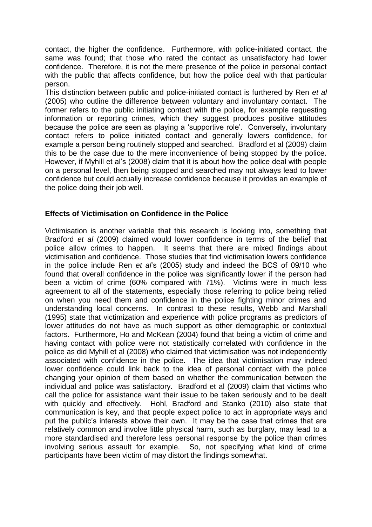contact, the higher the confidence. Furthermore, with police-initiated contact, the same was found; that those who rated the contact as unsatisfactory had lower confidence. Therefore, it is not the mere presence of the police in personal contact with the public that affects confidence, but how the police deal with that particular person.

This distinction between public and police-initiated contact is furthered by Ren *et al* (2005) who outline the difference between voluntary and involuntary contact. The former refers to the public initiating contact with the police, for example requesting information or reporting crimes, which they suggest produces positive attitudes because the police are seen as playing a 'supportive role'. Conversely, involuntary contact refers to police initiated contact and generally lowers confidence, for example a person being routinely stopped and searched. Bradford et al (2009) claim this to be the case due to the mere inconvenience of being stopped by the police. However, if Myhill et al's (2008) claim that it is about how the police deal with people on a personal level, then being stopped and searched may not always lead to lower confidence but could actually increase confidence because it provides an example of the police doing their job well.

## **Effects of Victimisation on Confidence in the Police**

Victimisation is another variable that this research is looking into, something that Bradford *et al* (2009) claimed would lower confidence in terms of the belief that police allow crimes to happen. It seems that there are mixed findings about victimisation and confidence. Those studies that find victimisation lowers confidence in the police include Ren *et al*'s (2005) study and indeed the BCS of 09/10 who found that overall confidence in the police was significantly lower if the person had been a victim of crime (60% compared with 71%). Victims were in much less agreement to all of the statements, especially those referring to police being relied on when you need them and confidence in the police fighting minor crimes and understanding local concerns. In contrast to these results, Webb and Marshall (1995) state that victimization and experience with police programs as predictors of lower attitudes do not have as much support as other demographic or contextual factors. Furthermore, Ho and McKean (2004) found that being a victim of crime and having contact with police were not statistically correlated with confidence in the police as did Myhill et al (2008) who claimed that victimisation was not independently associated with confidence in the police. The idea that victimisation may indeed lower confidence could link back to the idea of personal contact with the police changing your opinion of them based on whether the communication between the individual and police was satisfactory. Bradford et al (2009) claim that victims who call the police for assistance want their issue to be taken seriously and to be dealt with quickly and effectively. Hohl, Bradford and Stanko (2010) also state that communication is key, and that people expect police to act in appropriate ways and put the public's interests above their own. It may be the case that crimes that are relatively common and involve little physical harm, such as burglary, may lead to a more standardised and therefore less personal response by the police than crimes involving serious assault for example. So, not specifying what kind of crime participants have been victim of may distort the findings somewhat.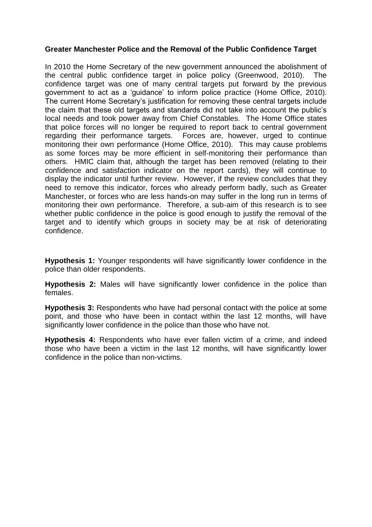## **Greater Manchester Police and the Removal of the Public Confidence Target**

In 2010 the Home Secretary of the new government announced the abolishment of the central public confidence target in police policy (Greenwood, 2010). The confidence target was one of many central targets put forward by the previous government to act as a 'guidance' to inform police practice (Home Office, 2010). The current Home Secretary's justification for removing these central targets include the claim that these old targets and standards did not take into account the public's local needs and took power away from Chief Constables. The Home Office states that police forces will no longer be required to report back to central government regarding their performance targets. Forces are, however, urged to continue monitoring their own performance (Home Office, 2010). This may cause problems as some forces may be more efficient in self-monitoring their performance than others. HMIC claim that, although the target has been removed (relating to their confidence and satisfaction indicator on the report cards), they will continue to display the indicator until further review. However, if the review concludes that they need to remove this indicator, forces who already perform badly, such as Greater Manchester, or forces who are less hands-on may suffer in the long run in terms of monitoring their own performance. Therefore, a sub-aim of this research is to see whether public confidence in the police is good enough to justify the removal of the target and to identify which groups in society may be at risk of deteriorating confidence.

**Hypothesis 1:** Younger respondents will have significantly lower confidence in the police than older respondents.

**Hypothesis 2:** Males will have significantly lower confidence in the police than females.

**Hypothesis 3:** Respondents who have had personal contact with the police at some point, and those who have been in contact within the last 12 months, will have significantly lower confidence in the police than those who have not.

**Hypothesis 4:** Respondents who have ever fallen victim of a crime, and indeed those who have been a victim in the last 12 months, will have significantly lower confidence in the police than non-victims.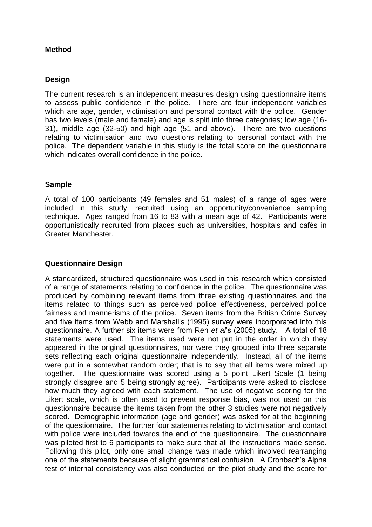# **Method**

## **Design**

The current research is an independent measures design using questionnaire items to assess public confidence in the police. There are four independent variables which are age, gender, victimisation and personal contact with the police. Gender has two levels (male and female) and age is split into three categories; low age (16- 31), middle age (32-50) and high age (51 and above). There are two questions relating to victimisation and two questions relating to personal contact with the police. The dependent variable in this study is the total score on the questionnaire which indicates overall confidence in the police.

## **Sample**

A total of 100 participants (49 females and 51 males) of a range of ages were included in this study, recruited using an opportunity/convenience sampling technique. Ages ranged from 16 to 83 with a mean age of 42. Participants were opportunistically recruited from places such as universities, hospitals and cafés in Greater Manchester.

# **Questionnaire Design**

A standardized, structured questionnaire was used in this research which consisted of a range of statements relating to confidence in the police. The questionnaire was produced by combining relevant items from three existing questionnaires and the items related to things such as perceived police effectiveness, perceived police fairness and mannerisms of the police. Seven items from the British Crime Survey and five items from Webb and Marshall's (1995) survey were incorporated into this questionnaire. A further six items were from Ren *et al*'s (2005) study. A total of 18 statements were used. The items used were not put in the order in which they appeared in the original questionnaires, nor were they grouped into three separate sets reflecting each original questionnaire independently. Instead, all of the items were put in a somewhat random order; that is to say that all items were mixed up together. The questionnaire was scored using a 5 point Likert Scale (1 being strongly disagree and 5 being strongly agree). Participants were asked to disclose how much they agreed with each statement. The use of negative scoring for the Likert scale, which is often used to prevent response bias, was not used on this questionnaire because the items taken from the other 3 studies were not negatively scored. Demographic information (age and gender) was asked for at the beginning of the questionnaire. The further four statements relating to victimisation and contact with police were included towards the end of the questionnaire. The questionnaire was piloted first to 6 participants to make sure that all the instructions made sense. Following this pilot, only one small change was made which involved rearranging one of the statements because of slight grammatical confusion. A Cronbach's Alpha test of internal consistency was also conducted on the pilot study and the score for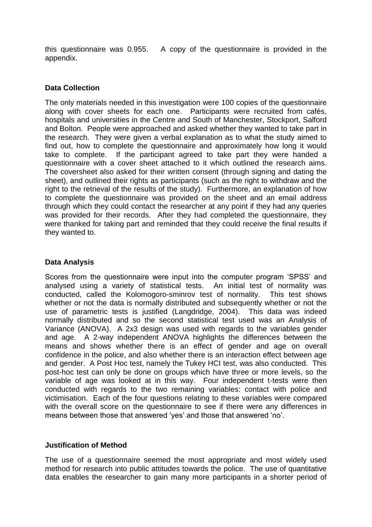this questionnaire was 0.955. A copy of the questionnaire is provided in the appendix.

## **Data Collection**

The only materials needed in this investigation were 100 copies of the questionnaire along with cover sheets for each one. Participants were recruited from cafés, hospitals and universities in the Centre and South of Manchester, Stockport, Salford and Bolton. People were approached and asked whether they wanted to take part in the research. They were given a verbal explanation as to what the study aimed to find out, how to complete the questionnaire and approximately how long it would take to complete. If the participant agreed to take part they were handed a questionnaire with a cover sheet attached to it which outlined the research aims. The coversheet also asked for their written consent (through signing and dating the sheet), and outlined their rights as participants (such as the right to withdraw and the right to the retrieval of the results of the study). Furthermore, an explanation of how to complete the questionnaire was provided on the sheet and an email address through which they could contact the researcher at any point if they had any queries was provided for their records. After they had completed the questionnaire, they were thanked for taking part and reminded that they could receive the final results if they wanted to.

# **Data Analysis**

Scores from the questionnaire were input into the computer program 'SPSS' and analysed using a variety of statistical tests. An initial test of normality was conducted, called the Kolomogoro-sminrov test of normality. This test shows whether or not the data is normally distributed and subsequently whether or not the use of parametric tests is justified (Langdridge, 2004). This data was indeed normally distributed and so the second statistical test used was an Analysis of Variance (ANOVA). A 2x3 design was used with regards to the variables gender and age. A 2-way independent ANOVA highlights the differences between the means and shows whether there is an effect of gender and age on overall confidence in the police, and also whether there is an interaction effect between age and gender. A Post Hoc test, namely the Tukey HCI test, was also conducted. This post-hoc test can only be done on groups which have three or more levels, so the variable of age was looked at in this way. Four independent t-tests were then conducted with regards to the two remaining variables: contact with police and victimisation. Each of the four questions relating to these variables were compared with the overall score on the questionnaire to see if there were any differences in means between those that answered 'yes' and those that answered 'no'.

## **Justification of Method**

The use of a questionnaire seemed the most appropriate and most widely used method for research into public attitudes towards the police. The use of quantitative data enables the researcher to gain many more participants in a shorter period of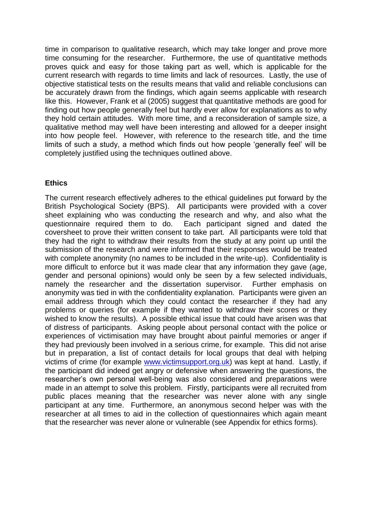time in comparison to qualitative research, which may take longer and prove more time consuming for the researcher. Furthermore, the use of quantitative methods proves quick and easy for those taking part as well, which is applicable for the current research with regards to time limits and lack of resources. Lastly, the use of objective statistical tests on the results means that valid and reliable conclusions can be accurately drawn from the findings, which again seems applicable with research like this. However, Frank et al (2005) suggest that quantitative methods are good for finding out how people generally feel but hardly ever allow for explanations as to why they hold certain attitudes. With more time, and a reconsideration of sample size, a qualitative method may well have been interesting and allowed for a deeper insight into how people feel. However, with reference to the research title, and the time limits of such a study, a method which finds out how people 'generally feel' will be completely justified using the techniques outlined above.

## **Ethics**

The current research effectively adheres to the ethical guidelines put forward by the British Psychological Society (BPS). All participants were provided with a cover sheet explaining who was conducting the research and why, and also what the questionnaire required them to do. Each participant signed and dated the coversheet to prove their written consent to take part. All participants were told that they had the right to withdraw their results from the study at any point up until the submission of the research and were informed that their responses would be treated with complete anonymity (no names to be included in the write-up). Confidentiality is more difficult to enforce but it was made clear that any information they gave (age, gender and personal opinions) would only be seen by a few selected individuals, namely the researcher and the dissertation supervisor. Further emphasis on anonymity was tied in with the confidentiality explanation. Participants were given an email address through which they could contact the researcher if they had any problems or queries (for example if they wanted to withdraw their scores or they wished to know the results). A possible ethical issue that could have arisen was that of distress of participants. Asking people about personal contact with the police or experiences of victimisation may have brought about painful memories or anger if they had previously been involved in a serious crime, for example. This did not arise but in preparation, a list of contact details for local groups that deal with helping victims of crime (for example [www.victimsupport.org.uk\)](http://www.victimsupport.org.uk/) was kept at hand. Lastly, if the participant did indeed get angry or defensive when answering the questions, the researcher's own personal well-being was also considered and preparations were made in an attempt to solve this problem. Firstly, participants were all recruited from public places meaning that the researcher was never alone with any single participant at any time. Furthermore, an anonymous second helper was with the researcher at all times to aid in the collection of questionnaires which again meant that the researcher was never alone or vulnerable (see Appendix for ethics forms).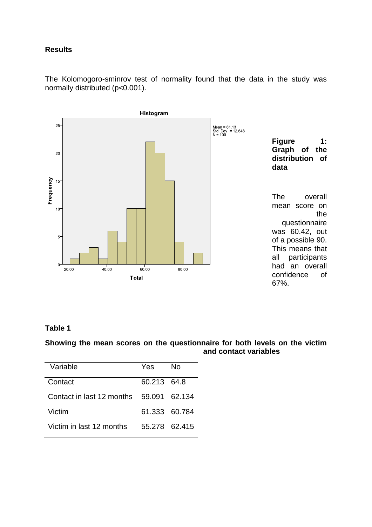## **Results**

The Kolomogoro-sminrov test of normality found that the data in the study was normally distributed (p<0.001).



# **Table 1**

**Showing the mean scores on the questionnaire for both levels on the victim and contact variables**

| Variable                                | Yes           | N٥            |
|-----------------------------------------|---------------|---------------|
| Contact                                 | 60.213 64.8   |               |
| Contact in last 12 months 59,091 62,134 |               |               |
| Victim                                  | 61.333 60.784 |               |
| Victim in last 12 months                |               | 55.278 62.415 |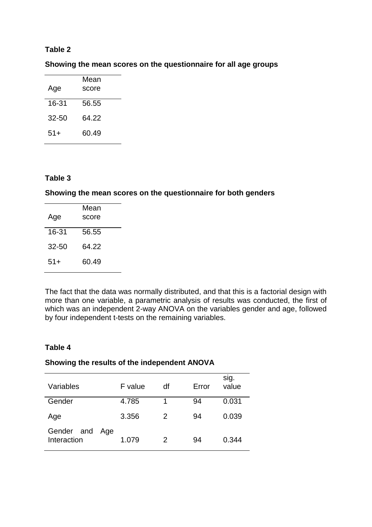## **Table 2**

**Showing the mean scores on the questionnaire for all age groups**

|           | Mean  |  |  |
|-----------|-------|--|--|
| Age       | score |  |  |
| 16-31     | 56.55 |  |  |
| $32 - 50$ | 64.22 |  |  |
| 51+       | 60.49 |  |  |

## **Table 3**

#### **Showing the mean scores on the questionnaire for both genders**

| Mean<br>score |
|---------------|
| 56.55         |
| 64.22         |
| 60.49         |
|               |

The fact that the data was normally distributed, and that this is a factorial design with more than one variable, a parametric analysis of results was conducted, the first of which was an independent 2-way ANOVA on the variables gender and age, followed by four independent t-tests on the remaining variables.

## **Table 4**

#### **Showing the results of the independent ANOVA**

| Variables                 | F value      | df | Error | sig.<br>value |
|---------------------------|--------------|----|-------|---------------|
| Gender                    | 4.785        | 1  | 94    | 0.031         |
| Age                       | 3.356        | 2  | 94    | 0.039         |
| Gender and<br>Interaction | Age<br>1.079 | 2  | 94    | 0.344         |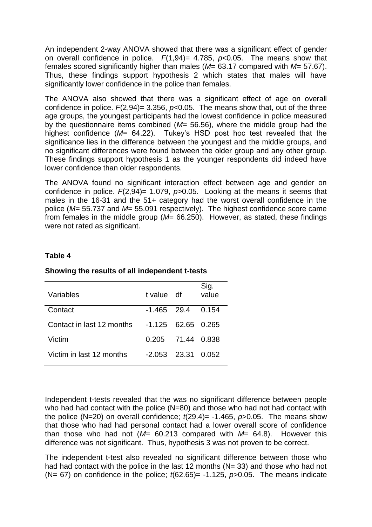An independent 2-way ANOVA showed that there was a significant effect of gender on overall confidence in police.  $F(1,94) = 4.785$ ,  $p < 0.05$ . The means show that females scored significantly higher than males (*M*= 63.17 compared with *M*= 57.67). Thus, these findings support hypothesis 2 which states that males will have significantly lower confidence in the police than females.

The ANOVA also showed that there was a significant effect of age on overall confidence in police.  $F(2,94) = 3.356$ ,  $p<0.05$ . The means show that, out of the three age groups, the youngest participants had the lowest confidence in police measured by the questionnaire items combined (*M*= 56.56), where the middle group had the highest confidence (*M*= 64.22). Tukey's HSD post hoc test revealed that the significance lies in the difference between the youngest and the middle groups, and no significant differences were found between the older group and any other group. These findings support hypothesis 1 as the younger respondents did indeed have lower confidence than older respondents.

The ANOVA found no significant interaction effect between age and gender on confidence in police. *F*(2,94)= 1.079, *p*>0.05. Looking at the means it seems that males in the 16-31 and the 51+ category had the worst overall confidence in the police (*M*= 55.737 and *M*= 55.091 respectively). The highest confidence score came from females in the middle group ( $M=$  66.250). However, as stated, these findings were not rated as significant.

# **Table 4**

| Variables                 | t value df           | Sig.<br>value |
|---------------------------|----------------------|---------------|
| Contact                   | $-1.465$ 29.4        | 0.154         |
| Contact in last 12 months | $-1.125$ 62.65 0.265 |               |
| Victim                    | 0.205 71.44 0.838    |               |
| Victim in last 12 months  | $-2.053$ 23.31 0.052 |               |

## **Showing the results of all independent t-tests**

Independent t-tests revealed that the was no significant difference between people who had had contact with the police (N=80) and those who had not had contact with the police (N=20) on overall confidence;  $t(29.4)$ = -1.465,  $p > 0.05$ . The means show that those who had had personal contact had a lower overall score of confidence than those who had not (*M*= 60.213 compared with *M*= 64.8). However this difference was not significant. Thus, hypothesis 3 was not proven to be correct.

The independent t-test also revealed no significant difference between those who had had contact with the police in the last 12 months ( $N= 33$ ) and those who had not (N= 67) on confidence in the police; *t*(62.65)= -1.125, *p*>0.05. The means indicate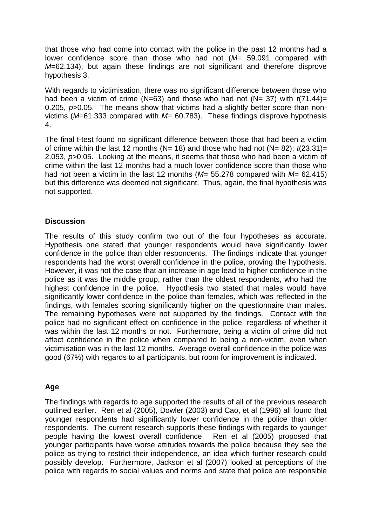that those who had come into contact with the police in the past 12 months had a lower confidence score than those who had not (*M*= 59.091 compared with *M*=62.134), but again these findings are not significant and therefore disprove hypothesis 3.

With regards to victimisation, there was no significant difference between those who had been a victim of crime (N=63) and those who had not (N= 37) with *t*(71.44)= 0.205, *p*>0.05. The means show that victims had a slightly better score than nonvictims (*M*=61.333 compared with *M*= 60.783). These findings disprove hypothesis 4.

The final t-test found no significant difference between those that had been a victim of crime within the last 12 months (N= 18) and those who had not (N= 82); *t*(23.31)= 2.053, *p*>0.05. Looking at the means, it seems that those who had been a victim of crime within the last 12 months had a much lower confidence score than those who had not been a victim in the last 12 months (*M*= 55.278 compared with *M*= 62.415) but this difference was deemed not significant. Thus, again, the final hypothesis was not supported.

# **Discussion**

The results of this study confirm two out of the four hypotheses as accurate. Hypothesis one stated that younger respondents would have significantly lower confidence in the police than older respondents. The findings indicate that younger respondents had the worst overall confidence in the police, proving the hypothesis. However, it was not the case that an increase in age lead to higher confidence in the police as it was the middle group, rather than the oldest respondents, who had the highest confidence in the police. Hypothesis two stated that males would have significantly lower confidence in the police than females, which was reflected in the findings, with females scoring significantly higher on the questionnaire than males. The remaining hypotheses were not supported by the findings. Contact with the police had no significant effect on confidence in the police, regardless of whether it was within the last 12 months or not. Furthermore, being a victim of crime did not affect confidence in the police when compared to being a non-victim, even when victimisation was in the last 12 months. Average overall confidence in the police was good (67%) with regards to all participants, but room for improvement is indicated.

# **Age**

The findings with regards to age supported the results of all of the previous research outlined earlier. Ren et al (2005), Dowler (2003) and Cao, et al (1996) all found that younger respondents had significantly lower confidence in the police than older respondents. The current research supports these findings with regards to younger people having the lowest overall confidence. Ren et al (2005) proposed that younger participants have worse attitudes towards the police because they see the police as trying to restrict their independence, an idea which further research could possibly develop. Furthermore, Jackson et al (2007) looked at perceptions of the police with regards to social values and norms and state that police are responsible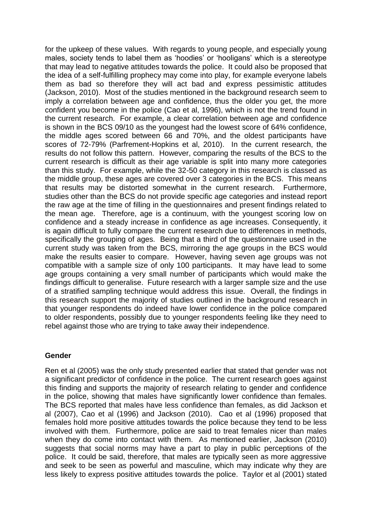for the upkeep of these values. With regards to young people, and especially young males, society tends to label them as 'hoodies' or 'hooligans' which is a stereotype that may lead to negative attitudes towards the police. It could also be proposed that the idea of a self-fulfilling prophecy may come into play, for example everyone labels them as bad so therefore they will act bad and express pessimistic attitudes (Jackson, 2010). Most of the studies mentioned in the background research seem to imply a correlation between age and confidence, thus the older you get, the more confident you become in the police (Cao et al, 1996), which is not the trend found in the current research. For example, a clear correlation between age and confidence is shown in the BCS 09/10 as the youngest had the lowest score of 64% confidence, the middle ages scored between 66 and 70%, and the oldest participants have scores of 72-79% (Parfrement-Hopkins et al, 2010). In the current research, the results do not follow this pattern. However, comparing the results of the BCS to the current research is difficult as their age variable is split into many more categories than this study. For example, while the 32-50 category in this research is classed as the middle group, these ages are covered over 3 categories in the BCS. This means that results may be distorted somewhat in the current research. Furthermore, studies other than the BCS do not provide specific age categories and instead report the raw age at the time of filling in the questionnaires and present findings related to the mean age. Therefore, age is a continuum, with the youngest scoring low on confidence and a steady increase in confidence as age increases. Consequently, it is again difficult to fully compare the current research due to differences in methods, specifically the grouping of ages. Being that a third of the questionnaire used in the current study was taken from the BCS, mirroring the age groups in the BCS would make the results easier to compare. However, having seven age groups was not compatible with a sample size of only 100 participants. It may have lead to some age groups containing a very small number of participants which would make the findings difficult to generalise. Future research with a larger sample size and the use of a stratified sampling technique would address this issue. Overall, the findings in this research support the majority of studies outlined in the background research in that younger respondents do indeed have lower confidence in the police compared to older respondents, possibly due to younger respondents feeling like they need to rebel against those who are trying to take away their independence.

## **Gender**

Ren et al (2005) was the only study presented earlier that stated that gender was not a significant predictor of confidence in the police. The current research goes against this finding and supports the majority of research relating to gender and confidence in the police, showing that males have significantly lower confidence than females. The BCS reported that males have less confidence than females, as did Jackson et al (2007), Cao et al (1996) and Jackson (2010). Cao et al (1996) proposed that females hold more positive attitudes towards the police because they tend to be less involved with them. Furthermore, police are said to treat females nicer than males when they do come into contact with them. As mentioned earlier, Jackson (2010) suggests that social norms may have a part to play in public perceptions of the police. It could be said, therefore, that males are typically seen as more aggressive and seek to be seen as powerful and masculine, which may indicate why they are less likely to express positive attitudes towards the police. Taylor et al (2001) stated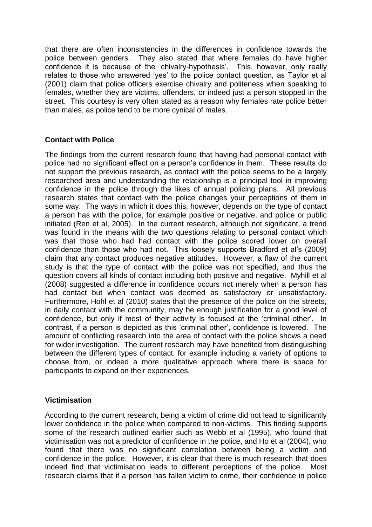that there are often inconsistencies in the differences in confidence towards the police between genders. They also stated that where females do have higher confidence it is because of the 'chivalry-hypothesis'. This, however, only really relates to those who answered 'yes' to the police contact question, as Taylor et al (2001) claim that police officers exercise chivalry and politeness when speaking to females, whether they are victims, offenders, or indeed just a person stopped in the street. This courtesy is very often stated as a reason why females rate police better than males, as police tend to be more cynical of males.

# **Contact with Police**

The findings from the current research found that having had personal contact with police had no significant effect on a person's confidence in them. These results do not support the previous research, as contact with the police seems to be a largely researched area and understanding the relationship is a principal tool in improving confidence in the police through the likes of annual policing plans. All previous research states that contact with the police changes your perceptions of them in some way. The ways in which it does this, however, depends on the type of contact a person has with the police, for example positive or negative, and police or public initiated (Ren et al, 2005). In the current research, although not significant, a trend was found in the means with the two questions relating to personal contact which was that those who had had contact with the police scored lower on overall confidence than those who had not. This loosely supports Bradford et al's (2009) claim that any contact produces negative attitudes. However, a flaw of the current study is that the type of contact with the police was not specified, and thus the question covers all kinds of contact including both positive and negative. Myhill et al (2008) suggested a difference in confidence occurs not merely when a person has had contact but when contact was deemed as satisfactory or unsatisfactory. Furthermore, Hohl et al (2010) states that the presence of the police on the streets, in daily contact with the community, may be enough justification for a good level of confidence, but only if most of their activity is focused at the 'criminal other'. In contrast, if a person is depicted as this 'criminal other', confidence is lowered. The amount of conflicting research into the area of contact with the police shows a need for wider investigation. The current research may have benefited from distinguishing between the different types of contact, for example including a variety of options to choose from, or indeed a more qualitative approach where there is space for participants to expand on their experiences.

## **Victimisation**

According to the current research, being a victim of crime did not lead to significantly lower confidence in the police when compared to non-victims. This finding supports some of the research outlined earlier such as Webb et al (1995), who found that victimisation was not a predictor of confidence in the police, and Ho et al (2004), who found that there was no significant correlation between being a victim and confidence in the police. However, it is clear that there is much research that does indeed find that victimisation leads to different perceptions of the police. Most research claims that if a person has fallen victim to crime, their confidence in police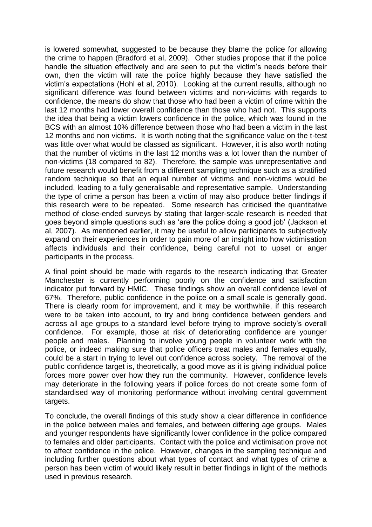is lowered somewhat, suggested to be because they blame the police for allowing the crime to happen (Bradford et al, 2009). Other studies propose that if the police handle the situation effectively and are seen to put the victim's needs before their own, then the victim will rate the police highly because they have satisfied the victim's expectations (Hohl et al, 2010). Looking at the current results, although no significant difference was found between victims and non-victims with regards to confidence, the means do show that those who had been a victim of crime within the last 12 months had lower overall confidence than those who had not. This supports the idea that being a victim lowers confidence in the police, which was found in the BCS with an almost 10% difference between those who had been a victim in the last 12 months and non victims. It is worth noting that the significance value on the t-test was little over what would be classed as significant. However, it is also worth noting that the number of victims in the last 12 months was a lot lower than the number of non-victims (18 compared to 82). Therefore, the sample was unrepresentative and future research would benefit from a different sampling technique such as a stratified random technique so that an equal number of victims and non-victims would be included, leading to a fully generalisable and representative sample. Understanding the type of crime a person has been a victim of may also produce better findings if this research were to be repeated. Some research has criticised the quantitative method of close-ended surveys by stating that larger-scale research is needed that goes beyond simple questions such as 'are the police doing a good job' (Jackson et al, 2007). As mentioned earlier, it may be useful to allow participants to subjectively expand on their experiences in order to gain more of an insight into how victimisation affects individuals and their confidence, being careful not to upset or anger participants in the process.

A final point should be made with regards to the research indicating that Greater Manchester is currently performing poorly on the confidence and satisfaction indicator put forward by HMIC. These findings show an overall confidence level of 67%. Therefore, public confidence in the police on a small scale is generally good. There is clearly room for improvement, and it may be worthwhile, if this research were to be taken into account, to try and bring confidence between genders and across all age groups to a standard level before trying to improve society's overall confidence. For example, those at risk of deteriorating confidence are younger people and males. Planning to involve young people in volunteer work with the police, or indeed making sure that police officers treat males and females equally, could be a start in trying to level out confidence across society. The removal of the public confidence target is, theoretically, a good move as it is giving individual police forces more power over how they run the community. However, confidence levels may deteriorate in the following years if police forces do not create some form of standardised way of monitoring performance without involving central government targets.

To conclude, the overall findings of this study show a clear difference in confidence in the police between males and females, and between differing age groups. Males and younger respondents have significantly lower confidence in the police compared to females and older participants. Contact with the police and victimisation prove not to affect confidence in the police. However, changes in the sampling technique and including further questions about what types of contact and what types of crime a person has been victim of would likely result in better findings in light of the methods used in previous research.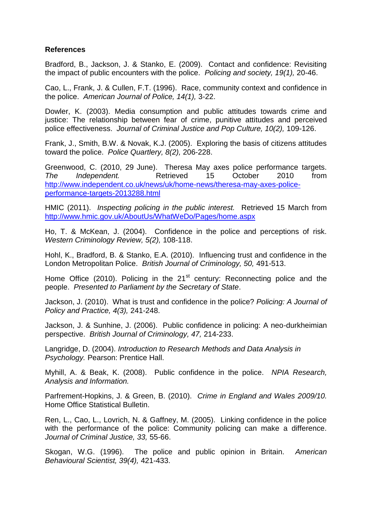# **References**

Bradford, B., Jackson, J. & Stanko, E. (2009). Contact and confidence: Revisiting the impact of public encounters with the police. *Policing and society, 19(1),* 20-46.

Cao, L., Frank, J. & Cullen, F.T. (1996). Race, community context and confidence in the police. *American Journal of Police, 14(1),* 3-22.

Dowler, K. (2003). Media consumption and public attitudes towards crime and justice: The relationship between fear of crime, punitive attitudes and perceived police effectiveness. *Journal of Criminal Justice and Pop Culture, 10(2),* 109-126.

Frank, J., Smith, B.W. & Novak, K.J. (2005). Exploring the basis of citizens attitudes toward the police. *Police Quartlery, 8(2),* 206-228.

Greenwood, C. (2010, 29 June). Theresa May axes police performance targets. *The Independent.* Retrieved 15 October 2010 from [http://www.independent.co.uk/news/uk/home-news/theresa-may-axes-police](http://www.independent.co.uk/news/uk/home-news/theresa-may-axes-police-performance-targets-2013288.html)[performance-targets-2013288.html](http://www.independent.co.uk/news/uk/home-news/theresa-may-axes-police-performance-targets-2013288.html)

HMIC (2011). *Inspecting policing in the public interest.* Retrieved 15 March from <http://www.hmic.gov.uk/AboutUs/WhatWeDo/Pages/home.aspx>

Ho, T. & McKean, J. (2004). Confidence in the police and perceptions of risk. *Western Criminology Review, 5(2),* 108-118.

Hohl, K., Bradford, B. & Stanko, E.A. (2010). Influencing trust and confidence in the London Metropolitan Police. *British Journal of Criminology, 50,* 491-513.

Home Office (2010). Policing in the  $21<sup>st</sup>$  century: Reconnecting police and the people. *Presented to Parliament by the Secretary of State*.

Jackson, J. (2010). What is trust and confidence in the police? *Policing: A Journal of Policy and Practice, 4(3),* 241-248.

Jackson, J. & Sunhine, J. (2006). Public confidence in policing: A neo-durkheimian perspective. *British Journal of Criminology, 47,* 214-233.

Langridge, D. (2004). *Introduction to Research Methods and Data Analysis in Psychology.* Pearson: Prentice Hall.

Myhill, A. & Beak, K. (2008). Public confidence in the police. *NPIA Research, Analysis and Information.* 

Parfrement-Hopkins, J. & Green, B. (2010). *Crime in England and Wales 2009/10.* Home Office Statistical Bulletin.

Ren, L., Cao, L., Lovrich, N. & Gaffney, M. (2005). Linking confidence in the police with the performance of the police: Community policing can make a difference. *Journal of Criminal Justice, 33,* 55-66.

Skogan, W.G. (1996). The police and public opinion in Britain. *American Behavioural Scientist, 39(4),* 421-433.